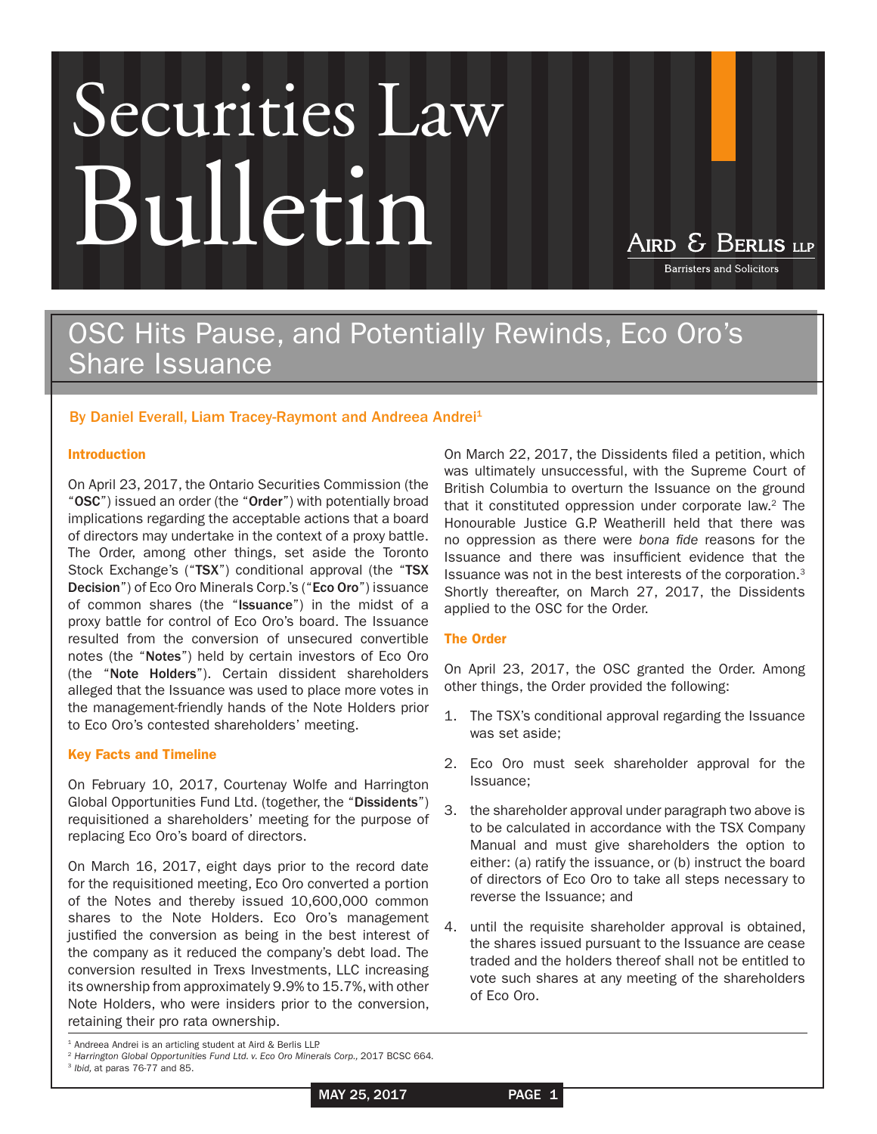# Securities Law Bulletin

AIRD & BERLIS LLP

**Barristers and Solicitors** 

## OSC Hits Pause, and Potentially Rewinds, Eco Oro's Share Issuance

### By [Daniel Everall](http://www.airdberlis.com/bio/Daniel-Everall), [Liam Tracey-Raymont](http://www.airdberlis.com/bio/Liam-Tracey-Raymont) and Andreea Andrei<sup>1</sup>

#### Introduction

On April 23, 2017, the Ontario Securities Commission (the "OSC") issued an order (the "Order") with potentially broad implications regarding the acceptable actions that a board of directors may undertake in the context of a proxy battle. The Order, among other things, set aside the Toronto Stock Exchange's ("TSX") conditional approval (the "TSX Decision") of Eco Oro Minerals Corp.'s ("Eco Oro") issuance of common shares (the "Issuance") in the midst of a proxy battle for control of Eco Oro's board. The Issuance resulted from the conversion of unsecured convertible notes (the "Notes") held by certain investors of Eco Oro (the "Note Holders"). Certain dissident shareholders alleged that the Issuance was used to place more votes in the management-friendly hands of the Note Holders prior to Eco Oro's contested shareholders' meeting.

#### Key Facts and Timeline

On February 10, 2017, Courtenay Wolfe and Harrington Global Opportunities Fund Ltd. (together, the "Dissidents") requisitioned a shareholders' meeting for the purpose of replacing Eco Oro's board of directors.

On March 16, 2017, eight days prior to the record date for the requisitioned meeting, Eco Oro converted a portion of the Notes and thereby issued 10,600,000 common shares to the Note Holders. Eco Oro's management justified the conversion as being in the best interest of the company as it reduced the company's debt load. The conversion resulted in Trexs Investments, LLC increasing its ownership from approximately 9.9% to 15.7%, with other Note Holders, who were insiders prior to the conversion, retaining their pro rata ownership.

On March 22, 2017, the Dissidents filed a petition, which was ultimately unsuccessful, with the Supreme Court of British Columbia to overturn the Issuance on the ground that it constituted oppression under corporate law. $2$  The Honourable Justice G.P. Weatherill held that there was no oppression as there were *bona fide* reasons for the Issuance and there was insufficient evidence that the Issuance was not in the best interests of the corporation.3 Shortly thereafter, on March 27, 2017, the Dissidents applied to the OSC for the Order.

#### The Order

On April 23, 2017, the OSC granted the Order. Among other things, the Order provided the following:

- 1. The TSX's conditional approval regarding the Issuance was set aside;
- 2. Eco Oro must seek shareholder approval for the Issuance;
- 3. the shareholder approval under paragraph two above is to be calculated in accordance with the TSX Company Manual and must give shareholders the option to either: (a) ratify the issuance, or (b) instruct the board of directors of Eco Oro to take all steps necessary to reverse the Issuance; and
- 4. until the requisite shareholder approval is obtained, the shares issued pursuant to the Issuance are cease traded and the holders thereof shall not be entitled to vote such shares at any meeting of the shareholders of Eco Oro.

MAY 25, 2017 PAGE 1



<sup>&</sup>lt;sup>1</sup> Andreea Andrei is an articling student at Aird & Berlis LLP.

<sup>&</sup>lt;sup>2</sup> Harrington Global Opportunities Fund Ltd. v. Eco Oro Minerals Corp., 2017 BCSC 664.

<sup>3</sup> *Ibid,* at paras 76-77 and 85.